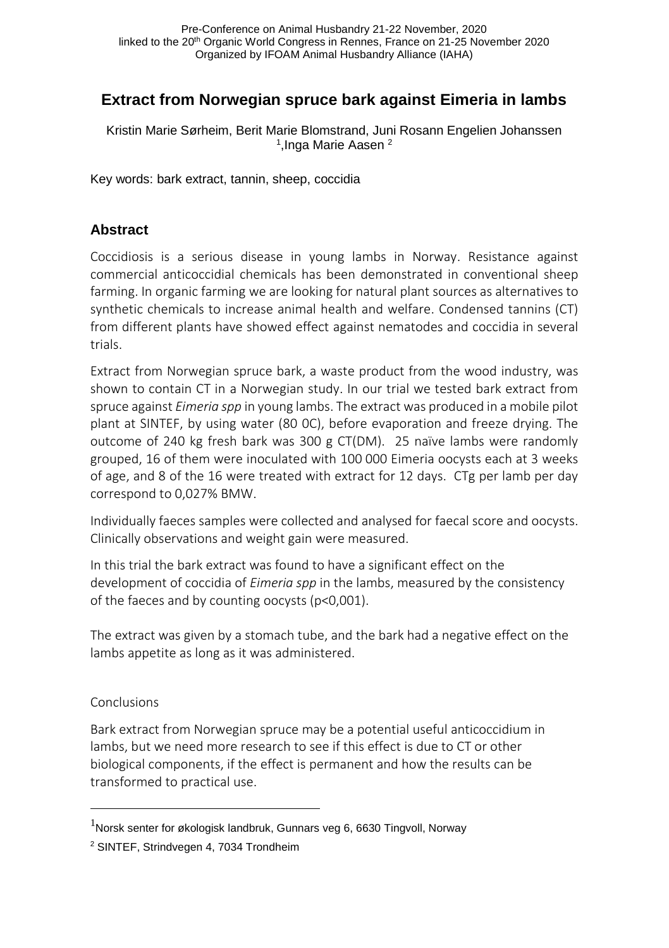# **Extract from Norwegian spruce bark against Eimeria in lambs**

Kristin Marie Sørheim, Berit Marie Blomstrand, Juni Rosann Engelien Johanssen <sup>1</sup>, Inga Marie Aasen <sup>2</sup>

Key words: bark extract, tannin, sheep, coccidia

### **Abstract**

Coccidiosis is a serious disease in young lambs in Norway. Resistance against commercial anticoccidial chemicals has been demonstrated in conventional sheep farming. In organic farming we are looking for natural plant sources as alternatives to synthetic chemicals to increase animal health and welfare. Condensed tannins (CT) from different plants have showed effect against nematodes and coccidia in several trials.

Extract from Norwegian spruce bark, a waste product from the wood industry, was shown to contain CT in a Norwegian study. In our trial we tested bark extract from spruce against *Eimeria spp* in young lambs. The extract was produced in a mobile pilot plant at SINTEF, by using water (80 0C), before evaporation and freeze drying. The outcome of 240 kg fresh bark was 300 g CT(DM). 25 naïve lambs were randomly grouped, 16 of them were inoculated with 100 000 Eimeria oocysts each at 3 weeks of age, and 8 of the 16 were treated with extract for 12 days. CTg per lamb per day correspond to 0,027% BMW.

Individually faeces samples were collected and analysed for faecal score and oocysts. Clinically observations and weight gain were measured.

In this trial the bark extract was found to have a significant effect on the development of coccidia of *Eimeria spp* in the lambs, measured by the consistency of the faeces and by counting oocysts (p<0,001).

The extract was given by a stomach tube, and the bark had a negative effect on the lambs appetite as long as it was administered.

#### Conclusions

 $\overline{a}$ 

Bark extract from Norwegian spruce may be a potential useful anticoccidium in lambs, but we need more research to see if this effect is due to CT or other biological components, if the effect is permanent and how the results can be transformed to practical use.

 $^{1}$ Norsk senter for økologisk landbruk, Gunnars veg 6, 6630 Tingvoll, Norway

<sup>2</sup> SINTEF, Strindvegen 4, 7034 Trondheim